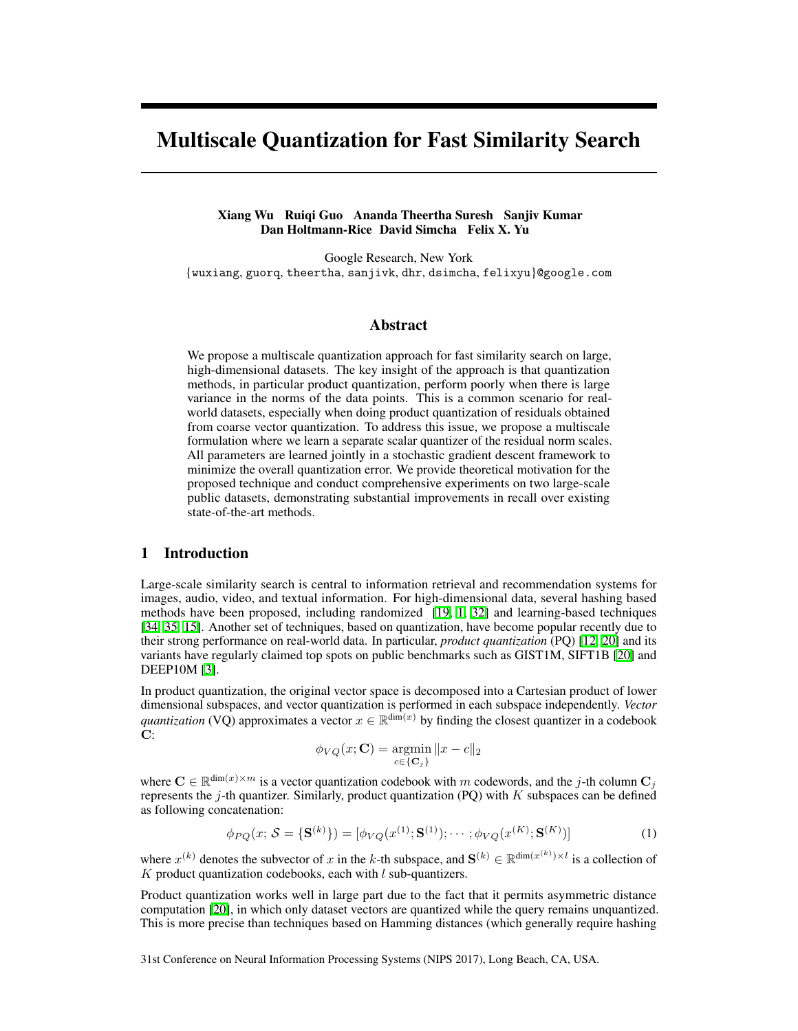# Multiscale Quantization for Fast Similarity Search

## Xiang Wu Ruiqi Guo Ananda Theertha Suresh Sanjiv Kumar Dan Holtmann-Rice David Simcha Felix X. Yu

Google Research, New York {wuxiang, guorq, theertha, sanjivk, dhr, dsimcha, felixyu}@google.com

# Abstract

We propose a multiscale quantization approach for fast similarity search on large, high-dimensional datasets. The key insight of the approach is that quantization methods, in particular product quantization, perform poorly when there is large variance in the norms of the data points. This is a common scenario for realworld datasets, especially when doing product quantization of residuals obtained from coarse vector quantization. To address this issue, we propose a multiscale formulation where we learn a separate scalar quantizer of the residual norm scales. All parameters are learned jointly in a stochastic gradient descent framework to minimize the overall quantization error. We provide theoretical motivation for the proposed technique and conduct comprehensive experiments on two large-scale public datasets, demonstrating substantial improvements in recall over existing state-of-the-art methods.

# 1 Introduction

Large-scale similarity search is central to information retrieval and recommendation systems for images, audio, video, and textual information. For high-dimensional data, several hashing based methods have been proposed, including randomized  $\left[\overline{19}, \overline{11}, \overline{32}\right]$  and learning-based techniques [\[34,](#page-10-1) [35,](#page-10-2) [15\]](#page-9-1). Another set of techniques, based on quantization, have become popular recently due to their strong performance on real-world data. In particular, *product quantization* (PQ) [\[12,](#page-9-2) [20\]](#page-9-3) and its variants have regularly claimed top spots on public benchmarks such as GIST1M, SIFT1B [\[20\]](#page-9-3) and DEEP10M [\[3\]](#page-8-1).

In product quantization, the original vector space is decomposed into a Cartesian product of lower dimensional subspaces, and vector quantization is performed in each subspace independently. *Vector quantization* (VO) approximates a vector  $x \in \mathbb{R}^{\dim(x)}$  by finding the closest quantizer in a codebook  $C:$ 

$$
\phi_{VQ}(x; \mathbf{C}) = \operatorname*{argmin}_{c \in \{\mathbf{C}_j\}} ||x - c||_2
$$

where  $\mathbf{C} \in \mathbb{R}^{\dim(x) \times m}$  is a vector quantization codebook with *m* codewords, and the *j*-th column  $\mathbf{C}_i$ represents the *j*-th quantizer. Similarly, product quantization (PQ) with *K* subspaces can be defined as following concatenation:

$$
\phi_{PQ}(x; \mathcal{S} = \{S^{(k)}\}) = [\phi_{VQ}(x^{(1)}; S^{(1)}); \cdots; \phi_{VQ}(x^{(K)}; S^{(K)})]
$$
(1)

where  $x^{(k)}$  denotes the subvector of *x* in the *k*-th subspace, and  $\mathbf{S}^{(k)} \in \mathbb{R}^{\dim(x^{(k)}) \times l}$  is a collection of *K* product quantization codebooks, each with *l* sub-quantizers.

Product quantization works well in large part due to the fact that it permits asymmetric distance computation [\[20\]](#page-9-3), in which only dataset vectors are quantized while the query remains unquantized. This is more precise than techniques based on Hamming distances (which generally require hashing

31st Conference on Neural Information Processing Systems (NIPS 2017), Long Beach, CA, USA.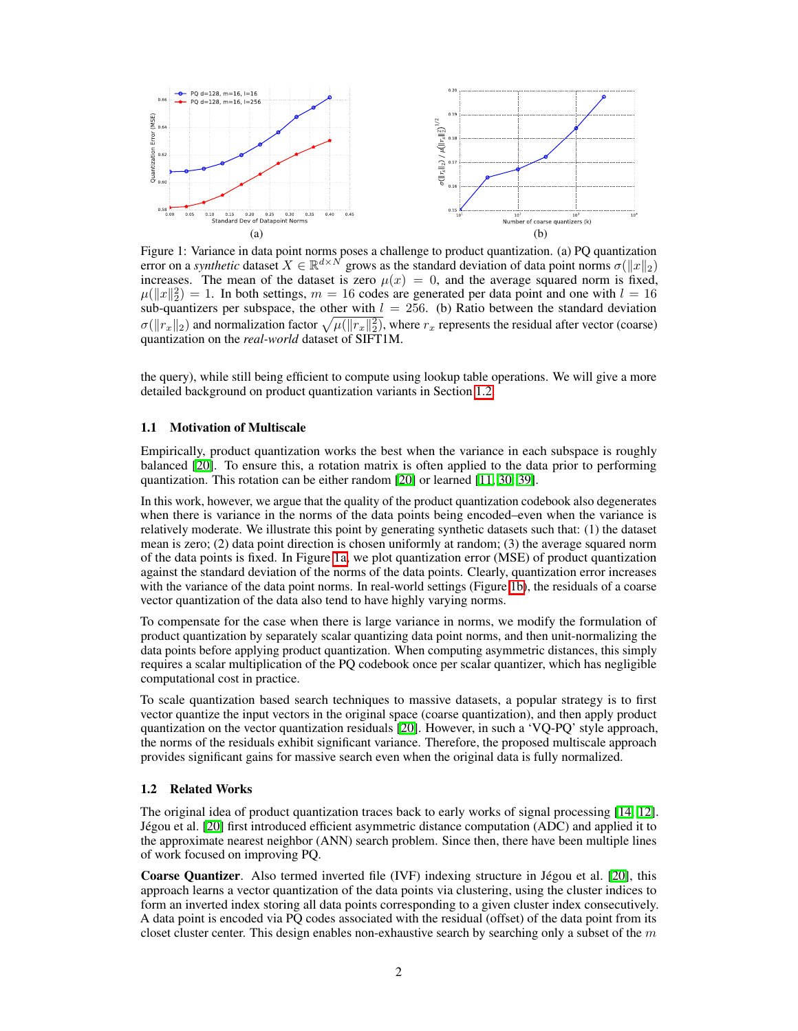<span id="page-1-1"></span>

Figure 1: Variance in data point norms poses a challenge to product quantization. (a) PQ quantization error on a *synthetic* dataset  $X \in \mathbb{R}^{d \times N}$  grows as the standard deviation of data point norms  $\sigma(\|x\|_2)$ increases. The mean of the dataset is zero  $\mu(x)=0$ , and the average squared norm is fixed,  $\mu(\|x\|_2^2) = 1$ . In both settings,  $m = 16$  codes are generated per data point and one with  $l = 16$ sub-quantizers per subspace, the other with  $l = 256$ . (b) Ratio between the standard deviation  $\sigma(\|r_x\|_2)$  and normalization factor  $\sqrt{\mu(\|r_x\|_2^2)}$ , where  $r_x$  represents the residual after vector (coarse) quantization on the *real-world* dataset of SIFT1M.

the query), while still being efficient to compute using lookup table operations. We will give a more detailed background on product quantization variants in Section [1.2.](#page-1-0)

## <span id="page-1-2"></span>1.1 Motivation of Multiscale

Empirically, product quantization works the best when the variance in each subspace is roughly balanced  $[20]$ . To ensure this, a rotation matrix is often applied to the data prior to performing quantization. This rotation can be either random [\[20\]](#page-9-3) or learned [\[11,](#page-9-4) [30,](#page-10-3) [39\]](#page-10-4).

In this work, however, we argue that the quality of the product quantization codebook also degenerates when there is variance in the norms of the data points being encoded–even when the variance is relatively moderate. We illustrate this point by generating synthetic datasets such that: (1) the dataset mean is zero; (2) data point direction is chosen uniformly at random; (3) the average squared norm of the data points is fixed. In Figure  $\overline{[a]}$ , we plot quantization error (MSE) of product quantization against the standard deviation of the norms of the data points. Clearly, quantization error increases with the variance of the data point norms. In real-world settings (Figure  $\overline{1b}$ ), the residuals of a coarse vector quantization of the data also tend to have highly varying norms.

To compensate for the case when there is large variance in norms, we modify the formulation of product quantization by separately scalar quantizing data point norms, and then unit-normalizing the data points before applying product quantization. When computing asymmetric distances, this simply requires a scalar multiplication of the PQ codebook once per scalar quantizer, which has negligible computational cost in practice.

To scale quantization based search techniques to massive datasets, a popular strategy is to first vector quantize the input vectors in the original space (coarse quantization), and then apply product quantization on the vector quantization residuals  $[20]$ . However, in such a 'VQ-PQ' style approach, the norms of the residuals exhibit significant variance. Therefore, the proposed multiscale approach provides significant gains for massive search even when the original data is fully normalized.

## <span id="page-1-0"></span>1.2 Related Works

The original idea of product quantization traces back to early works of signal processing  $[14, 12]$  $[14, 12]$  $[14, 12]$ . Jégou et al. [\[20\]](#page-9-3) first introduced efficient asymmetric distance computation (ADC) and applied it to the approximate nearest neighbor (ANN) search problem. Since then, there have been multiple lines of work focused on improving PQ.

Coarse Quantizer. Also termed inverted file (IVF) indexing structure in Jégou et al. [\[20\]](#page-9-3), this approach learns a vector quantization of the data points via clustering, using the cluster indices to form an inverted index storing all data points corresponding to a given cluster index consecutively. A data point is encoded via PQ codes associated with the residual (offset) of the data point from its closet cluster center. This design enables non-exhaustive search by searching only a subset of the *m*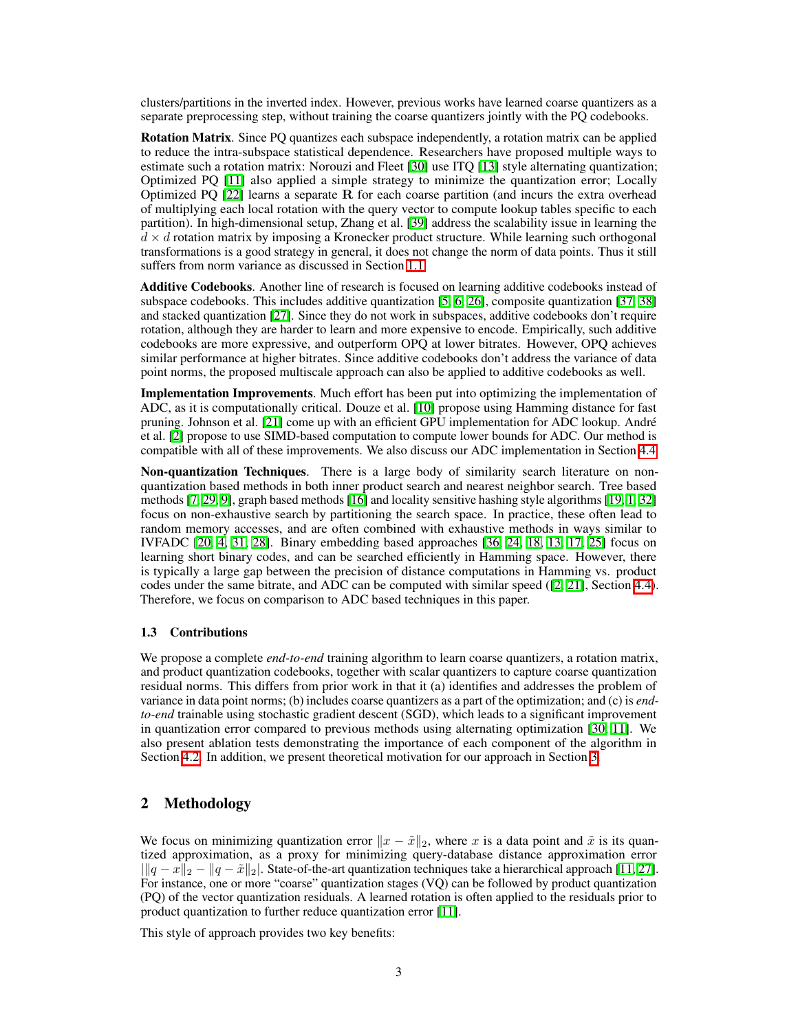clusters/partitions in the inverted index. However, previous works have learned coarse quantizers as a separate preprocessing step, without training the coarse quantizers jointly with the PQ codebooks.

Rotation Matrix. Since PQ quantizes each subspace independently, a rotation matrix can be applied to reduce the intra-subspace statistical dependence. Researchers have proposed multiple ways to estimate such a rotation matrix: Norouzi and Fleet  $\boxed{30}$  use ITQ  $\boxed{13}$  style alternating quantization; Optimized PQ  $\boxed{11}$  also applied a simple strategy to minimize the quantization error; Locally Optimized PO  $[22]$  learns a separate R for each coarse partition (and incurs the extra overhead of multiplying each local rotation with the query vector to compute lookup tables specific to each partition). In high-dimensional setup, Zhang et al. [\[39\]](#page-10-4) address the scalability issue in learning the  $d \times d$  rotation matrix by imposing a Kronecker product structure. While learning such orthogonal transformations is a good strategy in general, it does not change the norm of data points. Thus it still suffers from norm variance as discussed in Section [1.1.](#page-1-2)

Additive Codebooks. Another line of research is focused on learning additive codebooks instead of subspace codebooks. This includes additive quantization  $\left|\frac{5}{6}\right|$ ,  $\left|\frac{6}{26}\right|$ , composite quantization  $\left|\frac{37}{38}\right|$ and stacked quantization  $[27]$ . Since they do not work in subspaces, additive codebooks don't require rotation, although they are harder to learn and more expensive to encode. Empirically, such additive codebooks are more expressive, and outperform OPQ at lower bitrates. However, OPQ achieves similar performance at higher bitrates. Since additive codebooks don't address the variance of data point norms, the proposed multiscale approach can also be applied to additive codebooks as well.

Implementation Improvements. Much effort has been put into optimizing the implementation of ADC, as it is computationally critical. Douze et al. **[\[10\]](#page-9-10)** propose using Hamming distance for fast pruning. Johnson et al. [\[21\]](#page-9-11) come up with an efficient GPU implementation for ADC lookup. André et al. [\[2\]](#page-8-4) propose to use SIMD-based computation to compute lower bounds for ADC. Our method is compatible with all of these improvements. We also discuss our ADC implementation in Section  $[4.4]$ .

Non-quantization Techniques. There is a large body of similarity search literature on nonquantization based methods in both inner product search and nearest neighbor search. Tree based methods  $\left[\frac{7}{29}\right]\left[\frac{9}{16}\right]$ , graph based methods  $\left[\frac{16}{16}\right]$  and locality sensitive hashing style algorithms  $\left[\frac{19}{16}\right]\left[\frac{32}{16}\right]$ focus on non-exhaustive search by partitioning the search space. In practice, these often lead to random memory accesses, and are often combined with exhaustive methods in ways similar to IVFADC  $[20, 4, 31, 28]$  $[20, 4, 31, 28]$  $[20, 4, 31, 28]$  $[20, 4, 31, 28]$  $[20, 4, 31, 28]$  $[20, 4, 31, 28]$  $[20, 4, 31, 28]$ . Binary embedding based approaches  $[36, 24, 18, 13, 17, 25]$  $[36, 24, 18, 13, 17, 25]$  $[36, 24, 18, 13, 17, 25]$  $[36, 24, 18, 13, 17, 25]$  $[36, 24, 18, 13, 17, 25]$  $[36, 24, 18, 13, 17, 25]$  $[36, 24, 18, 13, 17, 25]$  $[36, 24, 18, 13, 17, 25]$  $[36, 24, 18, 13, 17, 25]$  $[36, 24, 18, 13, 17, 25]$  $[36, 24, 18, 13, 17, 25]$  focus on learning short binary codes, and can be searched efficiently in Hamming space. However, there is typically a large gap between the precision of distance computations in Hamming vs. product codes under the same bitrate, and ADC can be computed with similar speed ( $[2, 21]$  $[2, 21]$  $[2, 21]$ , Section [4.4\)](#page-7-0). Therefore, we focus on comparison to ADC based techniques in this paper.

#### 1.3 Contributions

We propose a complete *end-to-end* training algorithm to learn coarse quantizers, a rotation matrix, and product quantization codebooks, together with scalar quantizers to capture coarse quantization residual norms. This differs from prior work in that it (a) identifies and addresses the problem of variance in data point norms; (b) includes coarse quantizers as a part of the optimization; and (c) is *endto-end* trainable using stochastic gradient descent (SGD), which leads to a significant improvement in quantization error compared to previous methods using alternating optimization  $[30, 11]$  $[30, 11]$  $[30, 11]$ . We also present ablation tests demonstrating the importance of each component of the algorithm in Section  $\sqrt{4.2}$ . In addition, we present theoretical motivation for our approach in Section  $\sqrt{3}$ .

# 2 Methodology

We focus on minimizing quantization error  $||x - \tilde{x}||_2$ , where *x* is a data point and  $\tilde{x}$  is its quantized approximation, as a proxy for minimizing query-database distance approximation error  $\| |q - x\|_2 - \|q - \tilde{x}\|_2$ . State-of-the-art quantization techniques take a hierarchical approach  $[11, 27]$  $[11, 27]$  $[11, 27]$ . For instance, one or more "coarse" quantization stages (VQ) can be followed by product quantization (PQ) of the vector quantization residuals. A learned rotation is often applied to the residuals prior to product quantization to further reduce quantization error  $[11]$ .

This style of approach provides two key benefits: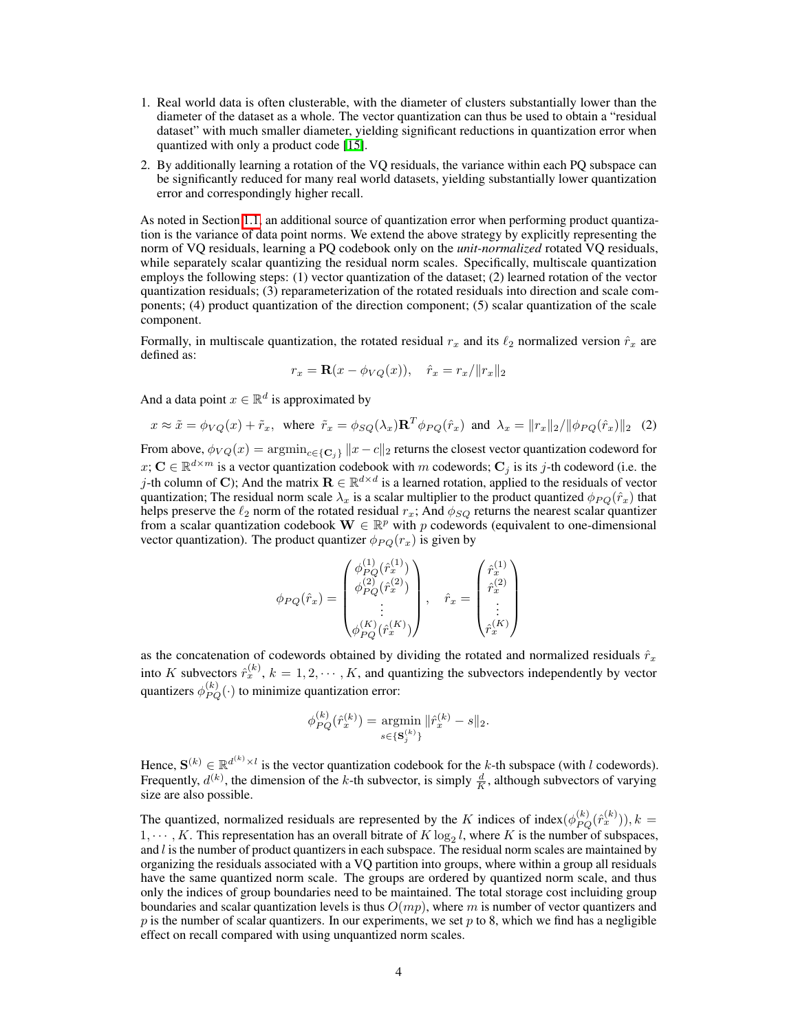- 1. Real world data is often clusterable, with the diameter of clusters substantially lower than the diameter of the dataset as a whole. The vector quantization can thus be used to obtain a "residual dataset" with much smaller diameter, yielding significant reductions in quantization error when quantized with only a product code [\[15\]](#page-9-1).
- 2. By additionally learning a rotation of the VQ residuals, the variance within each PQ subspace can be significantly reduced for many real world datasets, yielding substantially lower quantization error and correspondingly higher recall.

As noted in Section  $\overline{1,1}$ , an additional source of quantization error when performing product quantization is the variance  $\overline{of}$  data point norms. We extend the above strategy by explicitly representing the norm of VQ residuals, learning a PQ codebook only on the *unit-normalized* rotated VQ residuals, while separately scalar quantizing the residual norm scales. Specifically, multiscale quantization employs the following steps: (1) vector quantization of the dataset; (2) learned rotation of the vector quantization residuals; (3) reparameterization of the rotated residuals into direction and scale components; (4) product quantization of the direction component; (5) scalar quantization of the scale component.

Formally, in multiscale quantization, the rotated residual  $r_x$  and its  $\ell_2$  normalized version  $\hat{r}_x$  are defined as:

$$
r_x = \mathbf{R}(x - \phi_{VQ}(x)), \quad \hat{r}_x = r_x / ||r_x||_2
$$

And a data point  $x \in \mathbb{R}^d$  is approximated by

<span id="page-3-0"></span>
$$
x \approx \tilde{x} = \phi_{VQ}(x) + \tilde{r}_x, \text{ where } \tilde{r}_x = \phi_{SQ}(\lambda_x) \mathbf{R}^T \phi_{PQ}(\hat{r}_x) \text{ and } \lambda_x = ||r_x||_2 / ||\phi_{PQ}(\hat{r}_x)||_2 \tag{2}
$$

From above,  $\phi_{VQ}(x) = \arg\min_{c \in \{C_i\}} \|x - c\|_2$  returns the closest vector quantization codeword for  $x$ ;  $\mathbf{C} \in \mathbb{R}^{d \times m}$  is a vector quantization codebook with *m* codewords;  $\mathbf{C}_j$  is its *j*-th codeword (i.e. the *j*-th column of C); And the matrix  $\mathbf{R} \in \mathbb{R}^{d \times d}$  is a learned rotation, applied to the residuals of vector quantization; The residual norm scale  $\lambda_x$  is a scalar multiplier to the product quantized  $\phi_{PO}(\hat{r}_x)$  that helps preserve the  $\ell_2$  norm of the rotated residual  $r_x$ ; And  $\phi_{SO}$  returns the nearest scalar quantizer from a scalar quantization codebook  $\mathbf{W} \in \mathbb{R}^p$  with *p* codewords (equivalent to one-dimensional vector quantization). The product quantizer  $\phi_{PO}(r_x)$  is given by

$$
\phi_{PQ}(\hat{r}_x) = \begin{pmatrix} \phi_{PQ}^{(1)}(\hat{r}_x^{(1)}) \\ \phi_{PQ}^{(2)}(\hat{r}_x^{(2)}) \\ \vdots \\ \phi_{PQ}^{(K)}(\hat{r}_x^{(K)}) \end{pmatrix}, \quad \hat{r}_x = \begin{pmatrix} \hat{r}_x^{(1)} \\ \hat{r}_x^{(2)} \\ \vdots \\ \hat{r}_x^{(K)} \end{pmatrix}
$$

as the concatenation of codewords obtained by dividing the rotated and normalized residuals  $\hat{r}_x$ into *K* subvectors  $\hat{r}_x^{(k)}$ ,  $k = 1, 2, \cdots, K$ , and quantizing the subvectors independently by vector quantizers  $\phi_{PQ}^{(k)}(\cdot)$  to minimize quantization error:

$$
\phi^{(k)}_{PQ}(\hat{r}^{(k)}_x) = \operatornamewithlimits{argmin}_{s \in \{\mathbf{S}^{(k)}_j\}} \|\hat{r}^{(k)}_x - s\|_2.
$$

Hence,  $S^{(k)} \in \mathbb{R}^{d^{(k)} \times l}$  is the vector quantization codebook for the *k*-th subspace (with *l* codewords). Frequently,  $d^{(k)}$ , the dimension of the *k*-th subvector, is simply  $\frac{d}{K}$ , although subvectors of varying size are also possible.

The quantized, normalized residuals are represented by the *K* indices of index $(\phi_{PQ}^{(k)}(\hat{r}_x^{(k)}))$ ,  $k =$  $1, \dots, K$ . This representation has an overall bitrate of  $K \log_2 l$ , where  $K$  is the number of subspaces, and *l* is the number of product quantizers in each subspace. The residual norm scales are maintained by organizing the residuals associated with a VQ partition into groups, where within a group all residuals have the same quantized norm scale. The groups are ordered by quantized norm scale, and thus only the indices of group boundaries need to be maintained. The total storage cost incluiding group boundaries and scalar quantization levels is thus *O*(*mp*), where *m* is number of vector quantizers and  $p$  is the number of scalar quantizers. In our experiments, we set  $p$  to 8, which we find has a negligible effect on recall compared with using unquantized norm scales.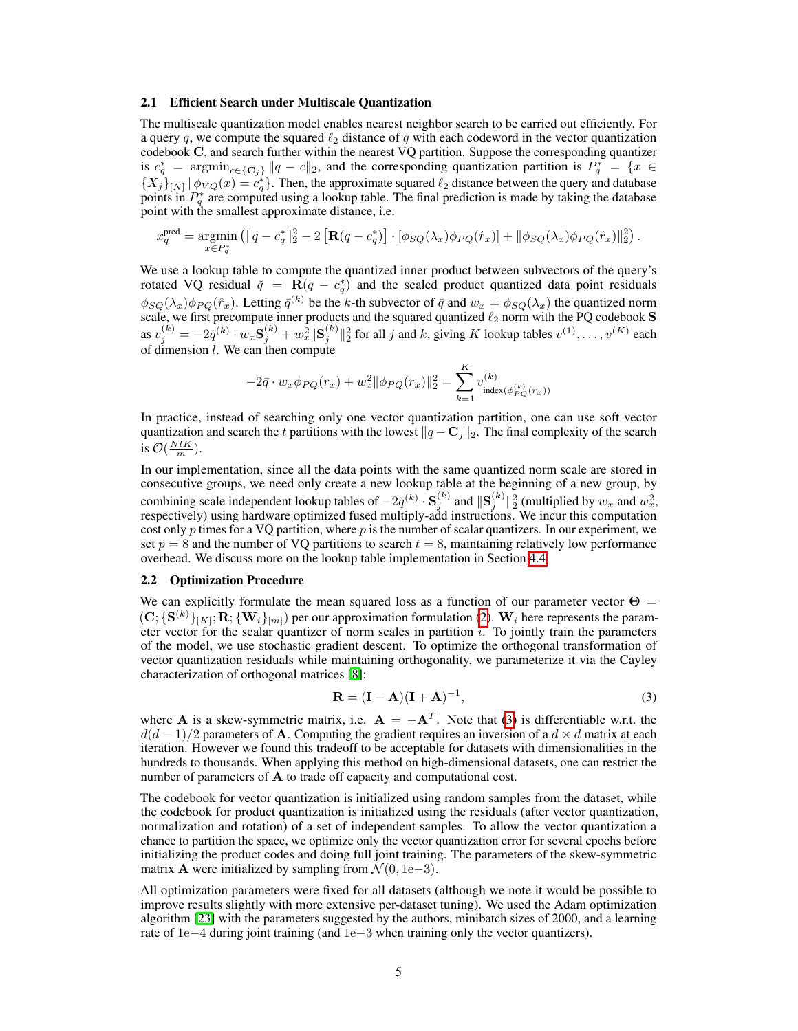#### 2.1 Efficient Search under Multiscale Quantization

The multiscale quantization model enables nearest neighbor search to be carried out efficiently. For a query  $q$ , we compute the squared  $\ell_2$  distance of  $q$  with each codeword in the vector quantization codebook C, and search further within the nearest VQ partition. Suppose the corresponding quantizer is  $c_q^* = \text{argmin}_{c \in \{C_j\}} ||q - c||_2$ , and the corresponding quantization partition is  $P_q^* = \{x \in$  $\{X_j\}_{[N]} |\phi_{VQ}(x) = c_q^*\}$ . Then, the approximate squared  $\ell_2$  distance between the query and database points in  $P_q^*$  are computed using a lookup table. The final prediction is made by taking the database point with the smallest approximate distance, i.e.

$$
x_q^{\text{pred}} = \underset{x \in P_q^*}{\text{argmin}} \left( \|q - c_q^*\|_2^2 - 2 \left[ \mathbf{R}(q - c_q^*) \right] \cdot [\phi_{SQ}(\lambda_x) \phi_{PQ}(\hat{r}_x)] + \|\phi_{SQ}(\lambda_x) \phi_{PQ}(\hat{r}_x) \|_2^2 \right).
$$

We use a lookup table to compute the quantized inner product between subvectors of the query's rotated VQ residual  $\bar{q} = \mathbf{R}(q - c_q^*)$  and the scaled product quantized data point residuals  $\phi_{SO}(\lambda_x)\phi_{PO}(\hat{r}_x)$ . Letting  $\bar{q}^{(k)}$  be the *k*-th subvector of  $\bar{q}$  and  $w_x = \phi_{SO}(\lambda_x)$  the quantized norm scale, we first precompute inner products and the squared quantized  $\ell_2$  norm with the PQ codebook S as  $v_j^{(k)} = -2\bar{q}^{(k)} \cdot w_x \mathbf{S}_j^{(k)} + w_x^2 \|\mathbf{S}_j^{(k)}\|_2^2$  for all j and k, giving K lookup tables  $v^{(1)}, \dots, v^{(K)}$  each of dimension *l*. We can then compute

$$
-2\bar{q} \cdot w_x \phi_{PQ}(r_x) + w_x^2 \|\phi_{PQ}(r_x)\|_2^2 = \sum_{k=1}^K v_{\text{index}(\phi_{PQ}^{(k)}(r_x))}^{(k)}
$$

In practice, instead of searching only one vector quantization partition, one can use soft vector quantization and search the *t* partitions with the lowest  $\left\|q - \mathbf{C}_j\right\|_2$ . The final complexity of the search is  $\mathcal{O}(\frac{N t K}{m})$ .

In our implementation, since all the data points with the same quantized norm scale are stored in consecutive groups, we need only create a new lookup table at the beginning of a new group, by combining scale independent lookup tables of  $-2\bar{q}^{(k)} \cdot \mathbf{S}^{(k)}_j$  and  $\|\mathbf{S}^{(k)}_j\|_2^2$  (multiplied by  $w_x$  and  $w_x^2$ , respectively) using hardware optimized fused multiply-add instructions. We incur this computation cost only *p* times for a VQ partition, where *p* is the number of scalar quantizers. In our experiment, we set  $p = 8$  and the number of VQ partitions to search  $t = 8$ , maintaining relatively low performance overhead. We discuss more on the lookup table implementation in Section  $[4.4]$ .

## 2.2 Optimization Procedure

We can explicitly formulate the mean squared loss as a function of our parameter vector  $\Theta =$  $(\mathbf{C}; \{\mathbf{S}^{(k)}\}_{[K]}; \mathbf{R}; \{\mathbf{W}_i\}_{[m]})$  per our approximation formulation  $(2)$ . W<sub>i</sub> here represents the parameter vector for the scalar quantizer of norm scales in partition i. To jointly train the parameters of the model, we use stochastic gradient descent. To optimize the orthogonal transformation of vector quantization residuals while maintaining orthogonality, we parameterize it via the Cayley characterization of orthogonal matrices [\[8\]](#page-8-7):

<span id="page-4-0"></span>
$$
\mathbf{R} = (\mathbf{I} - \mathbf{A})(\mathbf{I} + \mathbf{A})^{-1},\tag{3}
$$

where A is a skew-symmetric matrix, i.e.  $A = -A^T$ . Note that  $\overline{3}$  is differentiable w.r.t. the  $d(d-1)/2$  parameters of **A**. Computing the gradient requires an inversion of a  $d \times d$  matrix at each iteration. However we found this tradeoff to be acceptable for datasets with dimensionalities in the hundreds to thousands. When applying this method on high-dimensional datasets, one can restrict the number of parameters of A to trade off capacity and computational cost.

The codebook for vector quantization is initialized using random samples from the dataset, while the codebook for product quantization is initialized using the residuals (after vector quantization, normalization and rotation) of a set of independent samples. To allow the vector quantization a chance to partition the space, we optimize only the vector quantization error for several epochs before initializing the product codes and doing full joint training. The parameters of the skew-symmetric matrix **A** were initialized by sampling from  $\mathcal{N}(0, 1e-3)$ .

All optimization parameters were fixed for all datasets (although we note it would be possible to improve results slightly with more extensive per-dataset tuning). We used the Adam optimization algorithm  $\left[23\right]$  with the parameters suggested by the authors, minibatch sizes of 2000, and a learning rate of  $1e-4$  during joint training (and  $1e-3$  when training only the vector quantizers).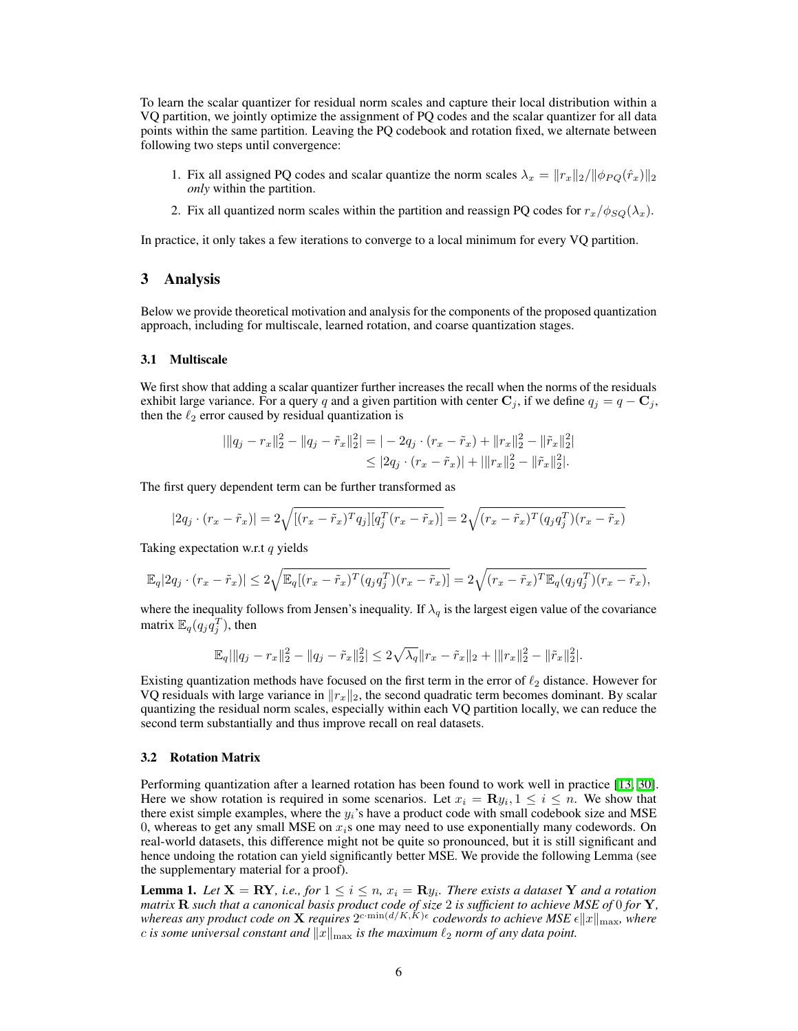To learn the scalar quantizer for residual norm scales and capture their local distribution within a VQ partition, we jointly optimize the assignment of PQ codes and the scalar quantizer for all data points within the same partition. Leaving the PQ codebook and rotation fixed, we alternate between following two steps until convergence:

- 1. Fix all assigned PQ codes and scalar quantize the norm scales  $\lambda_x = ||r_x||_2/||\phi_{PQ}(\hat{r}_x)||_2$ *only* within the partition.
- 2. Fix all quantized norm scales within the partition and reassign PQ codes for  $r_x/\phi_{SQ}(\lambda_x)$ .

In practice, it only takes a few iterations to converge to a local minimum for every VQ partition.

# <span id="page-5-0"></span>3 Analysis

Below we provide theoretical motivation and analysis for the components of the proposed quantization approach, including for multiscale, learned rotation, and coarse quantization stages.

#### 3.1 Multiscale

We first show that adding a scalar quantizer further increases the recall when the norms of the residuals exhibit large variance. For a query *q* and a given partition with center  $C_j$ , if we define  $q_j = q - C_j$ , then the  $\ell_2$  error caused by residual quantization is

$$
\begin{aligned} |||q_j - r_x||_2^2 - ||q_j - \tilde{r}_x||_2^2| &= |-2q_j \cdot (r_x - \tilde{r}_x) + ||r_x||_2^2 - ||\tilde{r}_x||_2^2| \\ &\leq |2q_j \cdot (r_x - \tilde{r}_x)| + |||r_x||_2^2 - ||\tilde{r}_x||_2^2|. \end{aligned}
$$

The first query dependent term can be further transformed as

$$
|2q_j \cdot (r_x - \tilde{r}_x)| = 2\sqrt{[(r_x - \tilde{r}_x)^T q_j][q_j^T (r_x - \tilde{r}_x)]} = 2\sqrt{(r_x - \tilde{r}_x)^T (q_j q_j^T)(r_x - \tilde{r}_x)}
$$

Taking expectation w.r.t *q* yields

$$
\mathbb{E}_q|2q_j \cdot (r_x - \tilde{r}_x)| \leq 2\sqrt{\mathbb{E}_q[(r_x - \tilde{r}_x)^T (q_j q_j^T)(r_x - \tilde{r}_x)]} = 2\sqrt{(r_x - \tilde{r}_x)^T \mathbb{E}_q(q_j q_j^T)(r_x - \tilde{r}_x)},
$$

where the inequality follows from Jensen's inequality. If  $\lambda_q$  is the largest eigen value of the covariance matrix  $\mathbb{E}_q(q_j q_j^T)$ , then

$$
\mathbb{E}_q \|\|q_j - r_x\|_2^2 - \|q_j - \tilde{r}_x\|_2^2 \le 2\sqrt{\lambda_q} \|r_x - \tilde{r}_x\|_2 + \|\|r_x\|_2^2 - \|\tilde{r}_x\|_2^2.
$$

Existing quantization methods have focused on the first term in the error of  $\ell_2$  distance. However for VQ residuals with large variance in  $\frac{f}{x}$ , the second quadratic term becomes dominant. By scalar quantizing the residual norm scales, especially within each VQ partition locally, we can reduce the second term substantially and thus improve recall on real datasets.

#### 3.2 Rotation Matrix

Performing quantization after a learned rotation has been found to work well in practice [\[13,](#page-9-6) [30\]](#page-10-3). Here we show rotation is required in some scenarios. Let  $x_i = \mathbf{R} y_i, 1 \le i \le n$ . We show that there exist simple examples, where the *yi*'s have a product code with small codebook size and MSE 0, whereas to get any small MSE on *xi*s one may need to use exponentially many codewords. On real-world datasets, this difference might not be quite so pronounced, but it is still significant and hence undoing the rotation can yield significantly better MSE. We provide the following Lemma (see the supplementary material for a proof).

**Lemma 1.** Let  $X = \mathbb{R}Y$ , i.e., for  $1 \leq i \leq n$ ,  $x_i = \mathbb{R}y_i$ . There exists a dataset Y and a rotation *matrix* R *such that a canonical basis product code of size* 2 *is sufficient to achieve MSE of* 0 *for* Y*, whereas any product code on* X *requires*  $2^{c \cdot \min(d/K,K)\epsilon}$  *codewords to achieve MSE*  $\epsilon ||x||_{\max}$ *, where c* is some universal constant and  $\|\bar{x}\|_{\text{max}}$  is the maximum  $\ell_2$  norm of any data point.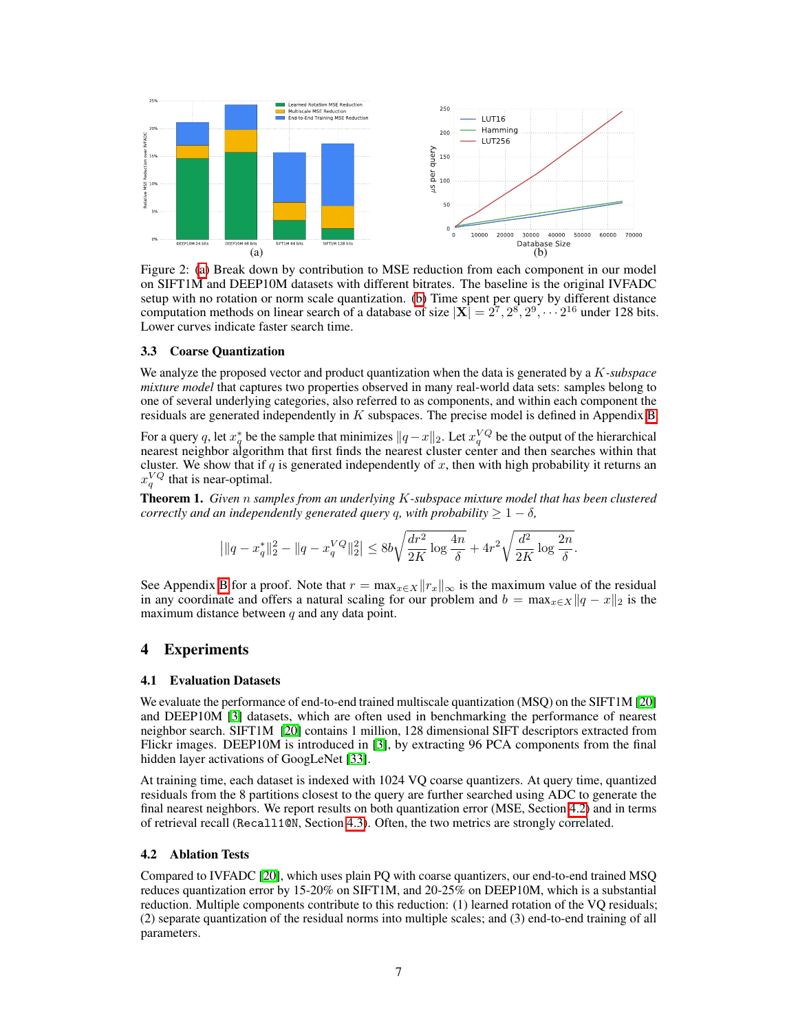<span id="page-6-1"></span>

Figure 2: [\(a\)](#page-6-1) Break down by contribution to MSE reduction from each component in our model on SIFT1M and DEEP10M datasets with different bitrates. The baseline is the original IVFADC setup with no rotation or norm scale quantization.  $\overline{[b]}$  Time spent per query by different distance computation methods on linear search of a database of size  $|\mathbf{X}| = 2^7, 2^8, 2^9, \cdots 2^{16}$  under 128 bits. Lower curves indicate faster search time.

## 3.3 Coarse Quantization

We analyze the proposed vector and product quantization when the data is generated by a *K-subspace mixture model* that captures two properties observed in many real-world data sets: samples belong to one of several underlying categories, also referred to as components, and within each component the residuals are generated independently in  $K$  subspaces. The precise model is defined in Appendix  $\mathbf{B}$ .

For a query q, let  $x_q^*$  be the sample that minimizes  $||q-x||_2$ . Let  $x_q^{VQ}$  be the output of the hierarchical nearest neighbor algorithm that first finds the nearest cluster center and then searches within that cluster. We show that if  $q$  is generated independently of  $x$ , then with high probability it returns an  $x_q^{VQ}$  that is near-optimal.

Theorem 1. *Given n samples from an underlying K-subspace mixture model that has been clustered correctly and an independently generated query q, with probability*  $\geq 1 - \delta$ *,* 

$$
\left| \| q - x_q^* \|_2^2 - \| q - x_q^{VQ} \|_2^2 \right| \leq 8b \sqrt{\frac{dr^2}{2K} \log \frac{4n}{\delta}} + 4r^2 \sqrt{\frac{d^2}{2K} \log \frac{2n}{\delta}}.
$$

See Appendix  $\boxed{B}$  for a proof. Note that  $r = \frac{\max_{x \in X} ||r_x||_{\infty}}{\max_{x \in X} ||r_x||_{\infty}}$  is the maximum value of the residual in any coordinate and offers a natural scaling for our problem and  $b = \max_{x \in X} ||q - x||_2$  is the maximum distance between *q* and any data point.

# 4 Experiments

#### 4.1 Evaluation Datasets

We evaluate the performance of end-to-end trained multiscale quantization (MSQ) on the SIFT1M  $[20]$ and DEEP10M  $[3]$  datasets, which are often used in benchmarking the performance of nearest neighbor search. SIFT1M [\[20\]](#page-9-3) contains 1 million, 128 dimensional SIFT descriptors extracted from Flickr images. DEEP10M is introduced in  $\boxed{3}$ , by extracting 96 PCA components from the final hidden layer activations of GoogLeNet [\[33\]](#page-10-9).

At training time, each dataset is indexed with 1024 VQ coarse quantizers. At query time, quantized residuals from the 8 partitions closest to the query are further searched using ADC to generate the final nearest neighbors. We report results on both quantization error (MSE, Section  $\overline{4.2}$ ) and in terms of retrieval recall (Recall10N, Section  $\overline{4.3}$ ). Often, the two metrics are strongly correlated.

#### <span id="page-6-0"></span>4.2 Ablation Tests

Compared to IVFADC [\[20\]](#page-9-3), which uses plain PQ with coarse quantizers, our end-to-end trained MSQ reduces quantization error by 15-20% on SIFT1M, and 20-25% on DEEP10M, which is a substantial reduction. Multiple components contribute to this reduction: (1) learned rotation of the VQ residuals; (2) separate quantization of the residual norms into multiple scales; and (3) end-to-end training of all parameters.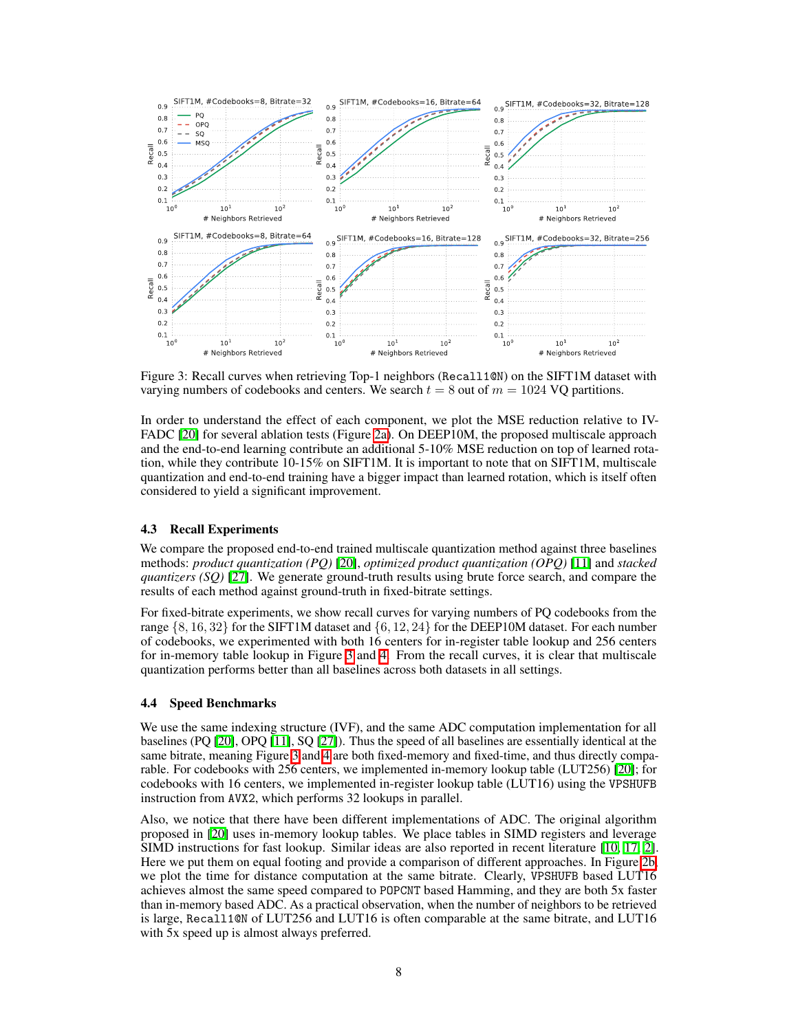<span id="page-7-2"></span>

Figure 3: Recall curves when retrieving Top-1 neighbors (Recall1@N) on the SIFT1M dataset with varying numbers of codebooks and centers. We search  $t = 8$  out of  $m = 1024$  VQ partitions.

In order to understand the effect of each component, we plot the MSE reduction relative to IV-FADC  $[20]$  for several ablation tests (Figure  $[2a]$ ). On DEEP10M, the proposed multiscale approach and the end-to-end learning contribute an additional 5-10% MSE reduction on top of learned rotation, while they contribute 10-15% on SIFT1M. It is important to note that on SIFT1M, multiscale quantization and end-to-end training have a bigger impact than learned rotation, which is itself often considered to yield a significant improvement.

## <span id="page-7-1"></span>4.3 Recall Experiments

We compare the proposed end-to-end trained multiscale quantization method against three baselines methods: *product quantization (PQ)* [\[20\]](#page-9-3), *optimized product quantization (OPQ)* [\[11\]](#page-9-4) and *stacked quantizers (SQ)* [\[27\]](#page-9-9). We generate ground-truth results using brute force search, and compare the results of each method against ground-truth in fixed-bitrate settings.

For fixed-bitrate experiments, we show recall curves for varying numbers of PQ codebooks from the range *{*8*,* 16*,* 32*}* for the SIFT1M dataset and *{*6*,* 12*,* 24*}* for the DEEP10M dataset. For each number of codebooks, we experimented with both 16 centers for in-register table lookup and 256 centers for in-memory table lookup in Figure  $\beta$  and  $\overline{4}$ . From the recall curves, it is clear that multiscale quantization performs better than all baselines across both datasets in all settings.

#### <span id="page-7-0"></span>4.4 Speed Benchmarks

We use the same indexing structure (IVF), and the same ADC computation implementation for all baselines (PQ [\[20\]](#page-9-3), OPQ [\[11\]](#page-9-4), SQ [\[27\]](#page-9-9)). Thus the speed of all baselines are essentially identical at the same bitrate, meaning Figure  $\overline{3}$  and  $\overline{4}$  are both fixed-memory and fixed-time, and thus directly comparable. For codebooks with 256 centers, we implemented in-memory lookup table (LUT256) [\[20\]](#page-9-3); for codebooks with 16 centers, we implemented in-register lookup table (LUT16) using the VPSHUFB instruction from AVX2, which performs 32 lookups in parallel.

Also, we notice that there have been different implementations of ADC. The original algorithm proposed in [\[20\]](#page-9-3) uses in-memory lookup tables. We place tables in SIMD registers and leverage SIMD instructions for fast lookup. Similar ideas are also reported in recent literature [\[10,](#page-9-10) [17,](#page-9-18) [2\]](#page-8-4). Here we put them on equal footing and provide a comparison of different approaches. In Figure [2b,](#page-6-1) we plot the time for distance computation at the same bitrate. Clearly, VPSHUFB based LUT16 achieves almost the same speed compared to POPCNT based Hamming, and they are both 5x faster than in-memory based ADC. As a practical observation, when the number of neighbors to be retrieved is large, Recall1@N of LUT256 and LUT16 is often comparable at the same bitrate, and LUT16 with 5x speed up is almost always preferred.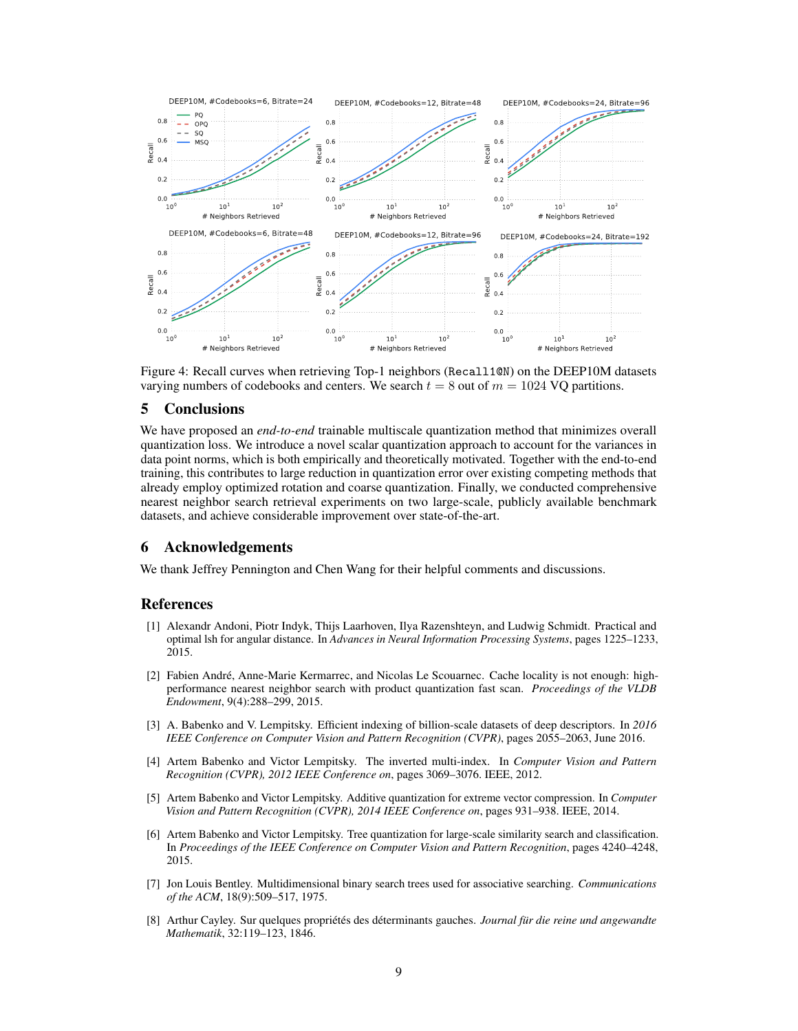<span id="page-8-8"></span>

Figure 4: Recall curves when retrieving Top-1 neighbors (Recall1@N) on the DEEP10M datasets varying numbers of codebooks and centers. We search  $t = 8$  out of  $m = 1024$  VQ partitions.

# 5 Conclusions

We have proposed an *end-to-end* trainable multiscale quantization method that minimizes overall quantization loss. We introduce a novel scalar quantization approach to account for the variances in data point norms, which is both empirically and theoretically motivated. Together with the end-to-end training, this contributes to large reduction in quantization error over existing competing methods that already employ optimized rotation and coarse quantization. Finally, we conducted comprehensive nearest neighbor search retrieval experiments on two large-scale, publicly available benchmark datasets, and achieve considerable improvement over state-of-the-art.

# 6 Acknowledgements

We thank Jeffrey Pennington and Chen Wang for their helpful comments and discussions.

## References

- <span id="page-8-0"></span>[1] Alexandr Andoni, Piotr Indyk, Thijs Laarhoven, Ilya Razenshteyn, and Ludwig Schmidt. Practical and optimal lsh for angular distance. In *Advances in Neural Information Processing Systems*, pages 1225–1233, 2015.
- <span id="page-8-4"></span>[2] Fabien André, Anne-Marie Kermarrec, and Nicolas Le Scouarnec. Cache locality is not enough: highperformance nearest neighbor search with product quantization fast scan. *Proceedings of the VLDB Endowment*, 9(4):288–299, 2015.
- <span id="page-8-1"></span>[3] A. Babenko and V. Lempitsky. Efficient indexing of billion-scale datasets of deep descriptors. In *2016 IEEE Conference on Computer Vision and Pattern Recognition (CVPR)*, pages 2055–2063, June 2016.
- <span id="page-8-6"></span>[4] Artem Babenko and Victor Lempitsky. The inverted multi-index. In *Computer Vision and Pattern Recognition (CVPR), 2012 IEEE Conference on*, pages 3069–3076. IEEE, 2012.
- <span id="page-8-2"></span>[5] Artem Babenko and Victor Lempitsky. Additive quantization for extreme vector compression. In *Computer Vision and Pattern Recognition (CVPR), 2014 IEEE Conference on*, pages 931–938. IEEE, 2014.
- <span id="page-8-3"></span>[6] Artem Babenko and Victor Lempitsky. Tree quantization for large-scale similarity search and classification. In *Proceedings of the IEEE Conference on Computer Vision and Pattern Recognition*, pages 4240–4248, 2015.
- <span id="page-8-5"></span>[7] Jon Louis Bentley. Multidimensional binary search trees used for associative searching. *Communications of the ACM*, 18(9):509–517, 1975.
- <span id="page-8-7"></span>[8] Arthur Cayley. Sur quelques propriétés des déterminants gauches. *Journal für die reine und angewandte Mathematik*, 32:119–123, 1846.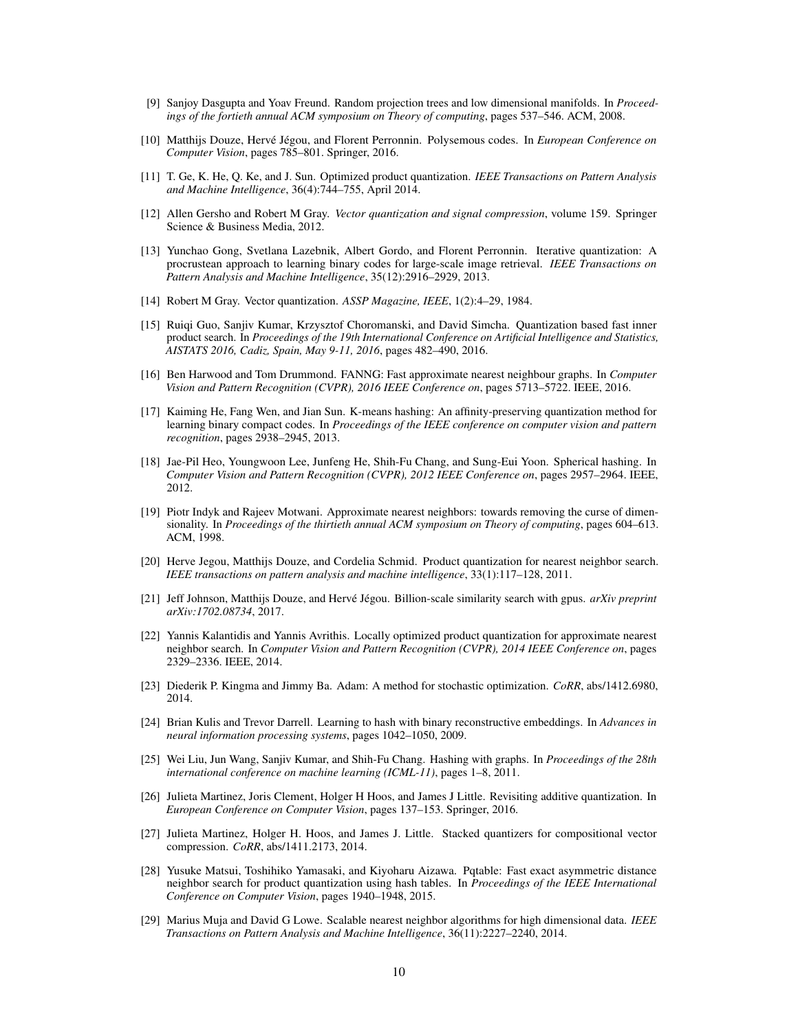- <span id="page-9-13"></span>[9] Sanjoy Dasgupta and Yoav Freund. Random projection trees and low dimensional manifolds. In *Proceedings of the fortieth annual ACM symposium on Theory of computing*, pages 537–546. ACM, 2008.
- <span id="page-9-10"></span>[10] Matthijs Douze, Hervé Jégou, and Florent Perronnin. Polysemous codes. In *European Conference on Computer Vision*, pages 785–801. Springer, 2016.
- <span id="page-9-4"></span>[11] T. Ge, K. He, Q. Ke, and J. Sun. Optimized product quantization. *IEEE Transactions on Pattern Analysis and Machine Intelligence*, 36(4):744–755, April 2014.
- <span id="page-9-2"></span>[12] Allen Gersho and Robert M Gray. *Vector quantization and signal compression*, volume 159. Springer Science & Business Media, 2012.
- <span id="page-9-6"></span>[13] Yunchao Gong, Svetlana Lazebnik, Albert Gordo, and Florent Perronnin. Iterative quantization: A procrustean approach to learning binary codes for large-scale image retrieval. *IEEE Transactions on Pattern Analysis and Machine Intelligence*, 35(12):2916–2929, 2013.
- <span id="page-9-5"></span>[14] Robert M Gray. Vector quantization. *ASSP Magazine, IEEE*, 1(2):4–29, 1984.
- <span id="page-9-1"></span>[15] Ruiqi Guo, Sanjiv Kumar, Krzysztof Choromanski, and David Simcha. Quantization based fast inner product search. In *Proceedings of the 19th International Conference on Artificial Intelligence and Statistics, AISTATS 2016, Cadiz, Spain, May 9-11, 2016*, pages 482–490, 2016.
- <span id="page-9-14"></span>[16] Ben Harwood and Tom Drummond. FANNG: Fast approximate nearest neighbour graphs. In *Computer Vision and Pattern Recognition (CVPR), 2016 IEEE Conference on*, pages 5713–5722. IEEE, 2016.
- <span id="page-9-18"></span>[17] Kaiming He, Fang Wen, and Jian Sun. K-means hashing: An affinity-preserving quantization method for learning binary compact codes. In *Proceedings of the IEEE conference on computer vision and pattern recognition*, pages 2938–2945, 2013.
- <span id="page-9-17"></span>[18] Jae-Pil Heo, Youngwoon Lee, Junfeng He, Shih-Fu Chang, and Sung-Eui Yoon. Spherical hashing. In *Computer Vision and Pattern Recognition (CVPR), 2012 IEEE Conference on*, pages 2957–2964. IEEE, 2012.
- <span id="page-9-0"></span>[19] Piotr Indyk and Rajeev Motwani. Approximate nearest neighbors: towards removing the curse of dimensionality. In *Proceedings of the thirtieth annual ACM symposium on Theory of computing*, pages 604–613. ACM, 1998.
- <span id="page-9-3"></span>[20] Herve Jegou, Matthijs Douze, and Cordelia Schmid. Product quantization for nearest neighbor search. *IEEE transactions on pattern analysis and machine intelligence*, 33(1):117–128, 2011.
- <span id="page-9-11"></span>[21] Jeff Johnson, Matthijs Douze, and Hervé Jégou. Billion-scale similarity search with gpus. *arXiv preprint arXiv:1702.08734*, 2017.
- <span id="page-9-7"></span>[22] Yannis Kalantidis and Yannis Avrithis. Locally optimized product quantization for approximate nearest neighbor search. In *Computer Vision and Pattern Recognition (CVPR), 2014 IEEE Conference on*, pages 2329–2336. IEEE, 2014.
- <span id="page-9-20"></span>[23] Diederik P. Kingma and Jimmy Ba. Adam: A method for stochastic optimization. *CoRR*, abs/1412.6980, 2014.
- <span id="page-9-16"></span>[24] Brian Kulis and Trevor Darrell. Learning to hash with binary reconstructive embeddings. In *Advances in neural information processing systems*, pages 1042–1050, 2009.
- <span id="page-9-19"></span>[25] Wei Liu, Jun Wang, Sanjiv Kumar, and Shih-Fu Chang. Hashing with graphs. In *Proceedings of the 28th international conference on machine learning (ICML-11)*, pages 1–8, 2011.
- <span id="page-9-8"></span>[26] Julieta Martinez, Joris Clement, Holger H Hoos, and James J Little. Revisiting additive quantization. In *European Conference on Computer Vision*, pages 137–153. Springer, 2016.
- <span id="page-9-9"></span>[27] Julieta Martinez, Holger H. Hoos, and James J. Little. Stacked quantizers for compositional vector compression. *CoRR*, abs/1411.2173, 2014.
- <span id="page-9-15"></span>[28] Yusuke Matsui, Toshihiko Yamasaki, and Kiyoharu Aizawa. Pqtable: Fast exact asymmetric distance neighbor search for product quantization using hash tables. In *Proceedings of the IEEE International Conference on Computer Vision*, pages 1940–1948, 2015.
- <span id="page-9-12"></span>[29] Marius Muja and David G Lowe. Scalable nearest neighbor algorithms for high dimensional data. *IEEE Transactions on Pattern Analysis and Machine Intelligence*, 36(11):2227–2240, 2014.